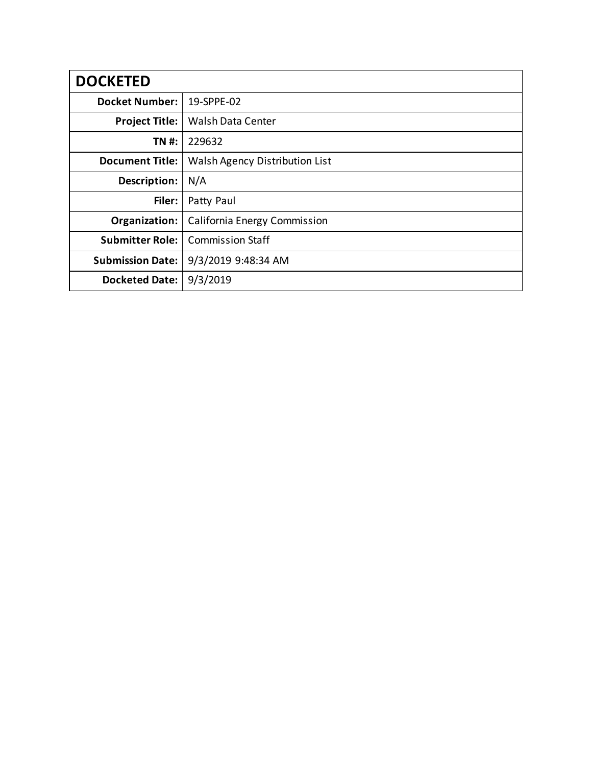| <b>DOCKETED</b>         |                                |  |  |  |
|-------------------------|--------------------------------|--|--|--|
| <b>Docket Number:</b>   | 19-SPPE-02                     |  |  |  |
| <b>Project Title:</b>   | <b>Walsh Data Center</b>       |  |  |  |
| TN #:                   | 229632                         |  |  |  |
| <b>Document Title:</b>  | Walsh Agency Distribution List |  |  |  |
| Description:            | N/A                            |  |  |  |
| Filer:                  | Patty Paul                     |  |  |  |
| Organization:           | California Energy Commission   |  |  |  |
| <b>Submitter Role:</b>  | <b>Commission Staff</b>        |  |  |  |
| <b>Submission Date:</b> | 9/3/2019 9:48:34 AM            |  |  |  |
| <b>Docketed Date:</b>   | 9/3/2019                       |  |  |  |